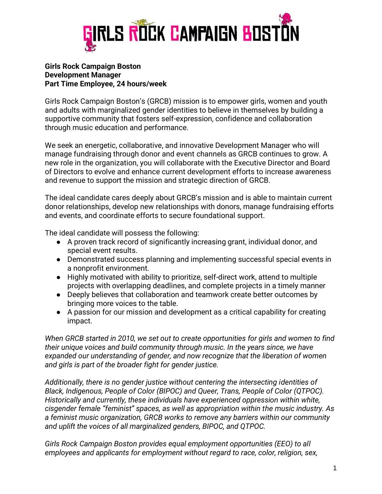

#### **Girls Rock Campaign Boston Development Manager Part Time Employee, 24 hours/week**

Girls Rock Campaign Boston's (GRCB) mission is to empower girls, women and youth and adults with marginalized gender identities to believe in themselves by building a supportive community that fosters self-expression, confidence and collaboration through music education and performance.

We seek an energetic, collaborative, and innovative Development Manager who will manage fundraising through donor and event channels as GRCB continues to grow. A new role in the organization, you will collaborate with the Executive Director and Board of Directors to evolve and enhance current development efforts to increase awareness and revenue to support the mission and strategic direction of GRCB.

The ideal candidate cares deeply about GRCB's mission and is able to maintain current donor relationships, develop new relationships with donors, manage fundraising efforts and events, and coordinate efforts to secure foundational support.

The ideal candidate will possess the following:

- A proven track record of significantly increasing grant, individual donor, and special event results.
- Demonstrated success planning and implementing successful special events in a nonprofit environment.
- Highly motivated with ability to prioritize, self-direct work, attend to multiple projects with overlapping deadlines, and complete projects in a timely manner
- Deeply believes that collaboration and teamwork create better outcomes by bringing more voices to the table.
- A passion for our mission and development as a critical capability for creating impact.

*When GRCB started in 2010, we set out to create opportunities for girls and women to find their unique voices and build community through music. In the years since, we have expanded our understanding of gender, and now recognize that the liberation of women and girls is part of the broader fight for gender justice.* 

*Additionally, there is no gender justice without centering the intersecting identities of Black, Indigenous, People of Color (BIPOC) and Queer, Trans, People of Color (QTPOC). Historically and currently, these individuals have experienced oppression within white, cisgender female "feminist" spaces, as well as appropriation within the music industry. As a feminist music organization, GRCB works to remove any barriers within our community and uplift the voices of all marginalized genders, BIPOC, and QTPOC.*

*Girls Rock Campaign Boston provides equal employment opportunities (EEO) to all employees and applicants for employment without regard to race, color, religion, sex,*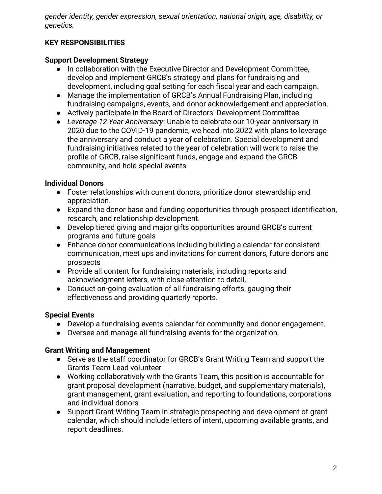*gender identity, gender expression, sexual orientation, national origin, age, disability, or genetics.*

# **KEY RESPONSIBILITIES**

### **Support Development Strategy**

- In collaboration with the Executive Director and Development Committee, develop and implement GRCB's strategy and plans for fundraising and development, including goal setting for each fiscal year and each campaign.
- Manage the implementation of GRCB's Annual Fundraising Plan, including fundraising campaigns, events, and donor acknowledgement and appreciation.
- Actively participate in the Board of Directors' Development Committee.
- *Leverage 12 Year Anniversary*: Unable to celebrate our 10-year anniversary in 2020 due to the COVID-19 pandemic, we head into 2022 with plans to leverage the anniversary and conduct a year of celebration. Special development and fundraising initiatives related to the year of celebration will work to raise the profile of GRCB, raise significant funds, engage and expand the GRCB community, and hold special events

## **Individual Donors**

- Foster relationships with current donors, prioritize donor stewardship and appreciation.
- Expand the donor base and funding opportunities through prospect identification, research, and relationship development.
- Develop tiered giving and major gifts opportunities around GRCB's current programs and future goals
- Enhance donor communications including building a calendar for consistent communication, meet ups and invitations for current donors, future donors and prospects
- Provide all content for fundraising materials, including reports and acknowledgment letters, with close attention to detail.
- Conduct on-going evaluation of all fundraising efforts, gauging their effectiveness and providing quarterly reports.

## **Special Events**

- Develop a fundraising events calendar for community and donor engagement.
- Oversee and manage all fundraising events for the organization.

## **Grant Writing and Management**

- Serve as the staff coordinator for GRCB's Grant Writing Team and support the Grants Team Lead volunteer
- Working collaboratively with the Grants Team, this position is accountable for grant proposal development (narrative, budget, and supplementary materials), grant management, grant evaluation, and reporting to foundations, corporations and individual donors
- Support Grant Writing Team in strategic prospecting and development of grant calendar, which should include letters of intent, upcoming available grants, and report deadlines.